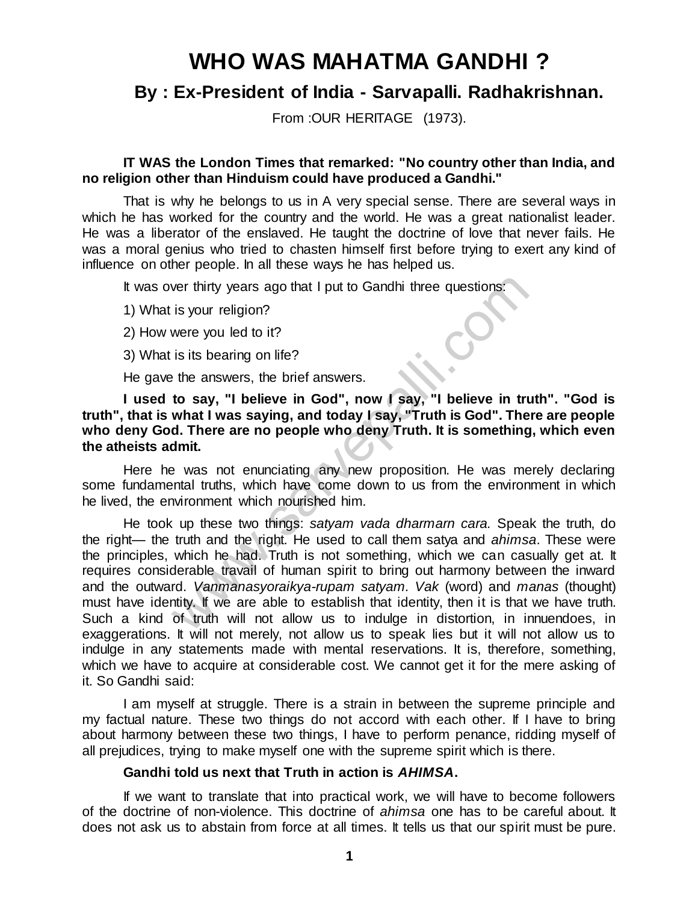# **WHO WAS MAHATMA GANDHI ?**

# **By : Ex-President of India - Sarvapalli. Radhakrishnan.**

From : OUR HERITAGE (1973).

#### **IT WAS the London Times that remarked: "No country other than India, and no religion other than Hinduism could have produced a Gandhi."**

That is why he belongs to us in A very special sense. There are several ways in which he has worked for the country and the world. He was a great nationalist leader. He was a liberator of the enslaved. He taught the doctrine of love that never fails. He was a moral genius who tried to chasten himself first before trying to exert any kind of influence on other people. In all these ways he has helped us.

It was over thirty years ago that I put to Gandhi three questions:

1) What is your religion?

- 2) How were you led to it?
- 3) What is its bearing on life?

He gave the answers, the brief answers.

**I used to say, "I believe in God", now I say, "I believe in truth". "God is truth", that is what I was saying, and today I say, "Truth is God". There are people who deny God. There are no people who deny Truth. It is something, which even the atheists admit.** 

Here he was not enunciating any new proposition. He was merely declaring some fundamental truths, which have come down to us from the environment in which he lived, the environment which nourished him.

He took up these two things: *satyam vada dharmarn cara.* Speak the truth, do the right— the truth and the right. He used to call them satya and *ahimsa*. These were the principles, which he had. Truth is not something, which we can casually get at. It requires considerable travail of human spirit to bring out harmony between the inward and the outward. *Vanmanasyoraikya-rupam satyam. Vak* (word) and *manas* (thought) must have identity. If we are able to establish that identity, then it is that we have truth. Such a kind of truth will not allow us to indulge in distortion, in innuendoes, in exaggerations. It will not merely, not allow us to speak lies but it will not allow us to indulge in any statements made with mental reservations. It is, therefore, something, which we have to acquire at considerable cost. We cannot get it for the mere asking of it. So Gandhi said: ver thirty years ago that I put to Gandhi three questions:<br>
is your religion?<br>
is its your religion?<br>
is its bearing on life?<br>
is its bearing on life?<br>
the answers, the brief answers.<br> **to say, "I believe in God", now I sa** 

I am myself at struggle. There is a strain in between the supreme principle and my factual nature. These two things do not accord with each other. If I have to bring about harmony between these two things, I have to perform penance, ridding myself of all prejudices, trying to make myself one with the supreme spirit which is there.

#### **Gandhi told us next that Truth in action is** *AHIMSA***.**

If we want to translate that into practical work, we will have to become followers of the doctrine of non-violence. This doctrine of *ahimsa* one has to be careful about. It does not ask us to abstain from force at all times. It tells us that our spirit must be pure.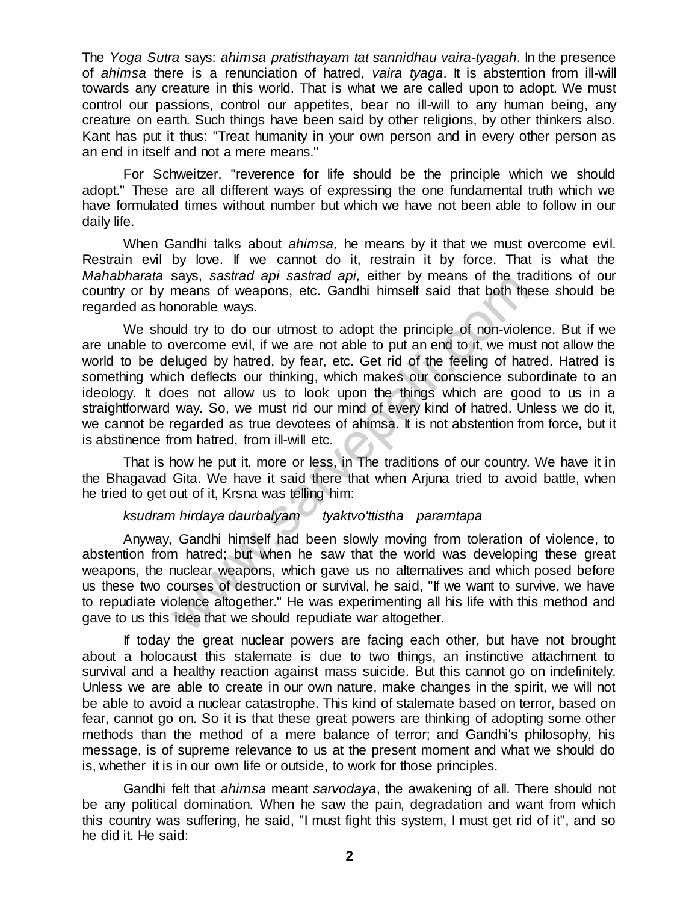The *Yoga Sutra* says: *ahimsa pratisthayam tat sannidhau vaira-tyagah*. In the presence of *ahimsa* there is a renunciation of hatred, *vaira tyaga*. It is abstention from ill-will towards any creature in this world. That is what we are called upon to adopt. We must control our passions, control our appetites, bear no ill-will to any human being, any creature on earth. Such things have been said by other religions, by other thinkers also. Kant has put it thus: "Treat humanity in your own person and in every other person as an end in itself and not a mere means."

For Schweitzer, "reverence for life should be the principle which we should adopt." These are all different ways of expressing the one fundamental truth which we have formulated times without number but which we have not been able to follow in our daily life.

When Gandhi talks about *ahimsa,* he means by it that we must overcome evil. Restrain evil by love. If we cannot do it, restrain it by force. That is what the *Mahabharata* says, *sastrad api sastrad api,* either by means of the traditions of our country or by means of weapons, etc. Gandhi himself said that both these should be regarded as honorable ways.

We should try to do our utmost to adopt the principle of non-violence. But if we are unable to overcome evil, if we are not able to put an end to it, we must not allow the world to be deluged by hatred, by fear, etc. Get rid of the feeling of hatred. Hatred is something which deflects our thinking, which makes our conscience subordinate to an ideology. It does not allow us to look upon the things which are good to us in a straightforward way. So, we must rid our mind of every kind of hatred. Unless we do it, we cannot be regarded as true devotees of ahimsa. It is not abstention from force, but it is abstinence from hatred, from ill-will etc. says, sastrative aprisastrative april. Then it by metallis of the tramenas of weapons, etc. Gandhi himself said that both the musion orable ways.<br>
uld try to do our utmost to adopt the principle of non-viole<br>
by wercome ev

That is how he put it, more or less, in The traditions of our country. We have it in the Bhagavad Gita. We have it said there that when Arjuna tried to avoid battle, when he tried to get out of it, Krsna was telling him:

# *ksudram hirdaya daurbalyam tyaktvo'ttistha pararntapa*

Anyway, Gandhi himself had been slowly moving from toleration of violence, to abstention from hatred; but when he saw that the world was developing these great weapons, the nuclear weapons, which gave us no alternatives and which posed before us these two courses of destruction or survival, he said, "If we want to survive, we have to repudiate violence altogether." He was experimenting all his life with this method and gave to us this idea that we should repudiate war altogether.

If today the great nuclear powers are facing each other, but have not brought about a holocaust this stalemate is due to two things, an instinctive attachment to survival and a healthy reaction against mass suicide. But this cannot go on indefinitely. Unless we are able to create in our own nature, make changes in the spirit, we will not be able to avoid a nuclear catastrophe. This kind of stalemate based on terror, based on fear, cannot go on. So it is that these great powers are thinking of adopting some other methods than the method of a mere balance of terror; and Gandhi's philosophy, his message, is of supreme relevance to us at the present moment and what we should do is, whether it is in our own life or outside, to work for those principles.

Gandhi felt that *ahimsa* meant *sarvodaya*, the awakening of all. There should not be any political domination. When he saw the pain, degradation and want from which this country was suffering, he said, "I must fight this system, I must get rid of it", and so he did it. He said: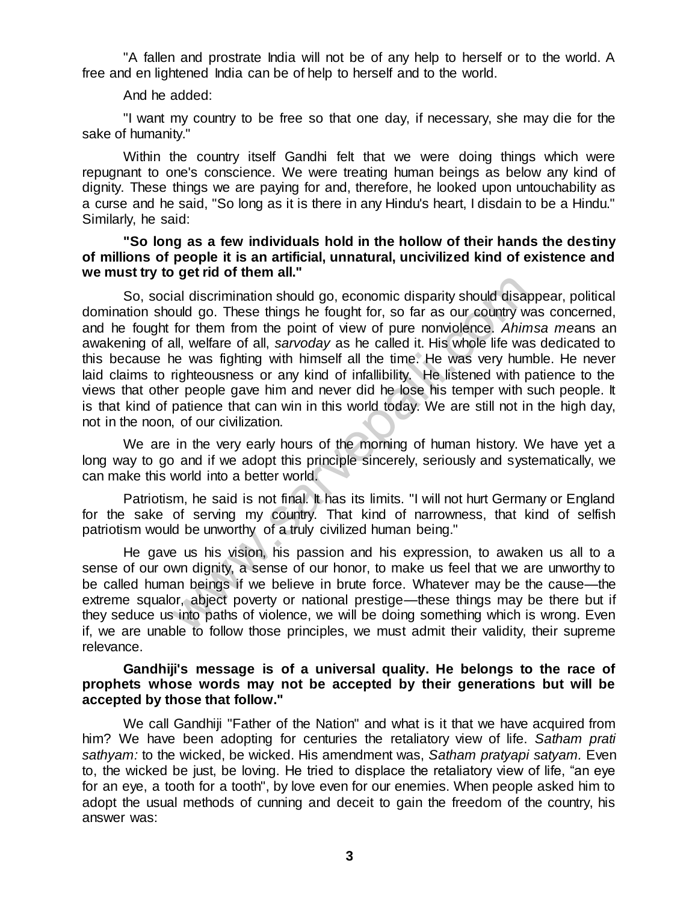"A fallen and prostrate India will not be of any help to herself or to the world. A free and en lightened India can be of help to herself and to the world.

#### And he added:

"I want my country to be free so that one day, if necessary, she may die for the sake of humanity."

Within the country itself Gandhi felt that we were doing things which were repugnant to one's conscience. We were treating human beings as below any kind of dignity. These things we are paying for and, therefore, he looked upon untouchability as a curse and he said, "So long as it is there in any Hindu's heart, I disdain to be a Hindu." Similarly, he said:

#### **"So long as a few individuals hold in the hollow of their hands the destiny of millions of people it is an artificial, unnatural, uncivilized kind of existence and we must try to get rid of them all."**

So, social discrimination should go, economic disparity should disappear, political domination should go. These things he fought for, so far as our country was concerned, and he fought for them from the point of view of pure nonviolence. *Ahimsa me*ans an awakening of all, welfare of all, *sarvoday* as he called it. His whole life was dedicated to this because he was fighting with himself all the time. He was very humble. He never laid claims to righteousness or any kind of infallibility. He listened with patience to the views that other people gave him and never did he lose his temper with such people. It is that kind of patience that can win in this world today. We are still not in the high day, not in the noon, of our civilization. ial discrimation should go, economic disparity should disaty<br>and discrimation should go, economic disparity should disaty<br>for them from the point of view of pure nonviolence. Ahin<br>all, welfare of all, sarvoday as he called

We are in the very early hours of the morning of human history. We have yet a long way to go and if we adopt this principle sincerely, seriously and systematically, we can make this world into a better world.

Patriotism, he said is not final. It has its limits. "I will not hurt Germany or England for the sake of serving my country. That kind of narrowness, that kind of selfish patriotism would be unworthy of a truly civilized human being."

He gave us his vision, his passion and his expression, to awaken us all to a sense of our own dignity, a sense of our honor, to make us feel that we are unworthy to be called human beings if we believe in brute force. Whatever may be the cause—the extreme squalor, abject poverty or national prestige—these things may be there but if they seduce us into paths of violence, we will be doing something which is wrong. Even if, we are unable to follow those principles, we must admit their validity, their supreme relevance.

#### **Gandhiji's message is of a universal quality. He belongs to the race of prophets whose words may not be accepted by their generations but will be accepted by those that follow."**

We call Gandhiji "Father of the Nation" and what is it that we have acquired from him? We have been adopting for centuries the retaliatory view of life. *Satham prati sathyam:* to the wicked, be wicked. His amendment was, *Satham pratyapi satyam.* Even to, the wicked be just, be loving. He tried to displace the retaliatory view of life, "an eye for an eye, a tooth for a tooth", by love even for our enemies. When people asked him to adopt the usual methods of cunning and deceit to gain the freedom of the country, his answer was: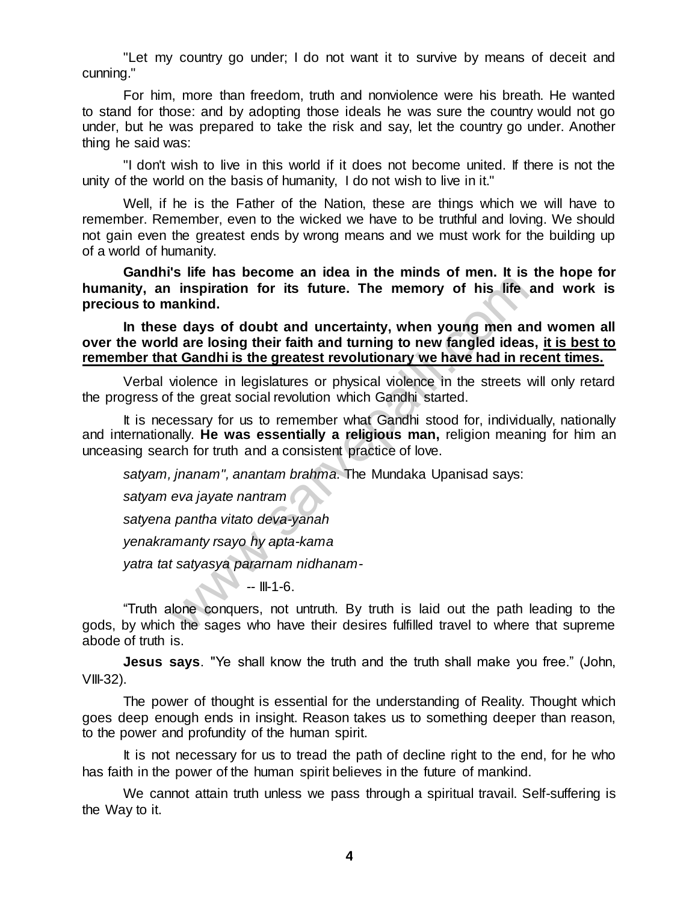"Let my country go under; I do not want it to survive by means of deceit and cunning."

For him, more than freedom, truth and nonviolence were his breath. He wanted to stand for those: and by adopting those ideals he was sure the country would not go under, but he was prepared to take the risk and say, let the country go under. Another thing he said was:

"I don't wish to live in this world if it does not become united. If there is not the unity of the world on the basis of humanity, I do not wish to live in it."

Well, if he is the Father of the Nation, these are things which we will have to remember. Remember, even to the wicked we have to be truthful and loving. We should not gain even the greatest ends by wrong means and we must work for the building up of a world of humanity.

**Gandhi's life has become an idea in the minds of men. It is the hope for humanity, an inspiration for its future. The memory of his life and work is precious to mankind.** 

**In these days of doubt and uncertainty, when young men and women all over the world are losing their faith and turning to new fangled ideas, it is best to remember that Gandhi is the greatest revolutionary we have had in recent times.** 

Verbal violence in legislatures or physical violence in the streets will only retard the progress of the great social revolution which Gandhi started.

It is necessary for us to remember what Gandhi stood for, individually, nationally and internationally. **He was essentially a religious man,** religion meaning for him an unceasing search for truth and a consistent practice of love. inspiration for its future. The memory of his life<br>inspiration for its future. The memory of his life<br>ankind.<br>e days of doubt and uncertainty, when young men ar<br>d are losing their faith and turning to new fangled ideas<br>it

*satyam, jnanam", anantam brahma.* The Mundaka Upanisad says:

*satyam eva jayate nantram* 

*satyena pantha vitato deva-yanah* 

*yenakramanty rsayo hy apta-kama* 

*yatra tat satyasya pararnam nidhanam-* 

 $\blacksquare$  -- III-1-6.

"Truth alone conquers, not untruth. By truth is laid out the path leading to the gods, by which the sages who have their desires fulfilled travel to where that supreme abode of truth is.

**Jesus says**. "Ye shall know the truth and the truth shall make you free." (John,  $VIII-32$ ).

The power of thought is essential for the understanding of Reality. Thought which goes deep enough ends in insight. Reason takes us to something deeper than reason, to the power and profundity of the human spirit.

It is not necessary for us to tread the path of decline right to the end, for he who has faith in the power of the human spirit believes in the future of mankind.

We cannot attain truth unless we pass through a spiritual travail. Self-suffering is the Way to it.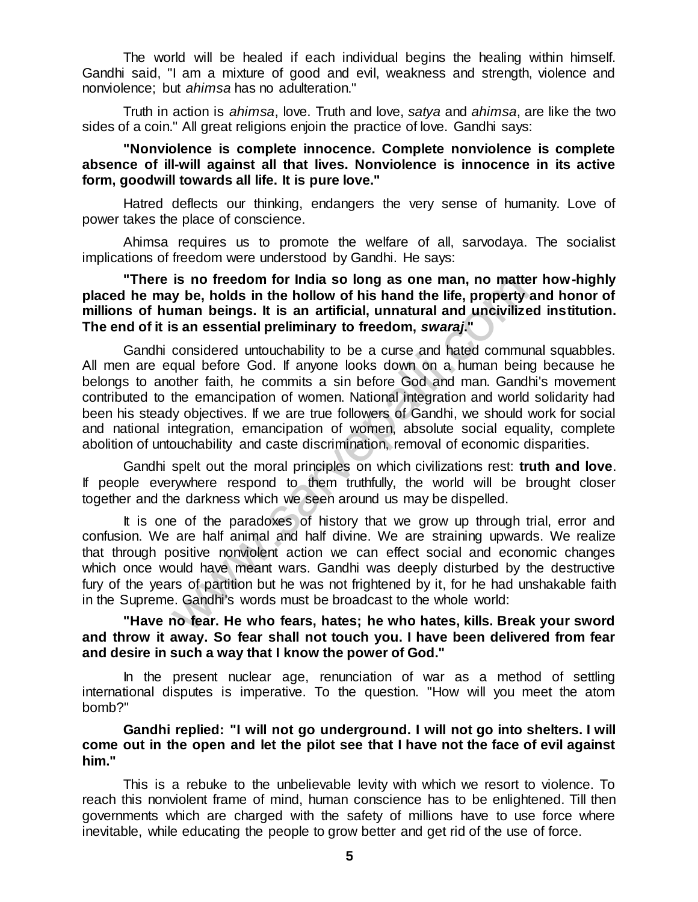The world will be healed if each individual begins the healing within himself. Gandhi said, "I am a mixture of good and evil, weakness and strength, violence and nonviolence; but *ahimsa* has no adulteration."

Truth in action is *ahimsa*, love. Truth and love, *satya* and *ahimsa*, are like the two sides of a coin." All great religions enjoin the practice of love. Gandhi says:

#### **"Nonviolence is complete innocence. Complete nonviolence is complete absence of ill-will against all that lives. Nonviolence is innocence in its active form, goodwill towards all life. It is pure love."**

Hatred deflects our thinking, endangers the very sense of humanity. Love of power takes the place of conscience.

Ahimsa requires us to promote the welfare of all, sarvodaya. The socialist implications of freedom were understood by Gandhi. He says:

**"There is no freedom for India so long as one man, no matter how-highly placed he may be, holds in the hollow of his hand the life, property and honor of millions of human beings. It is an artificial, unnatural and uncivilized institution. The end of it is an essential preliminary to freedom,** *swaraj***."**

Gandhi considered untouchability to be a curse and hated communal squabbles. All men are equal before God. If anyone looks down on a human being because he belongs to another faith, he commits a sin before God and man. Gandhi's movement contributed to the emancipation of women. National integration and world solidarity had been his steady objectives. If we are true followers of Gandhi, we should work for social and national integration, emancipation of women, absolute social equality, complete abolition of untouchability and caste discrimination, removal of economic disparities. is no freedom for India so long as one man, no matted y be, holds in the hollow of his hand the life, property than an beings. It is an artificial, unnatural and uncivilize sain essential preliminary to freedom, swaraj."<br>

Gandhi spelt out the moral principles on which civilizations rest: **truth and love**. If people everywhere respond to them truthfully, the world will be brought closer together and the darkness which we seen around us may be dispelled.

It is one of the paradoxes of history that we grow up through trial, error and confusion. We are half animal and half divine. We are straining upwards. We realize that through positive nonviolent action we can effect social and economic changes which once would have meant wars. Gandhi was deeply disturbed by the destructive fury of the years of partition but he was not frightened by it, for he had unshakable faith in the Supreme. Gandhi's words must be broadcast to the whole world:

## **"Have no fear. He who fears, hates; he who hates, kills. Break your sword and throw it away. So fear shall not touch you. I have been delivered from fear and desire in such a way that I know the power of God."**

In the present nuclear age, renunciation of war as a method of settling international disputes is imperative. To the question. "How will you meet the atom bomb?"

## **Gandhi replied: "I will not go underground. I will not go into shelters. I will come out in the open and let the pilot see that I have not the face of evil against him."**

This is a rebuke to the unbelievable levity with which we resort to violence. To reach this nonviolent frame of mind, human conscience has to be enlightened. Till then governments which are charged with the safety of millions have to use force where inevitable, while educating the people to grow better and get rid of the use of force.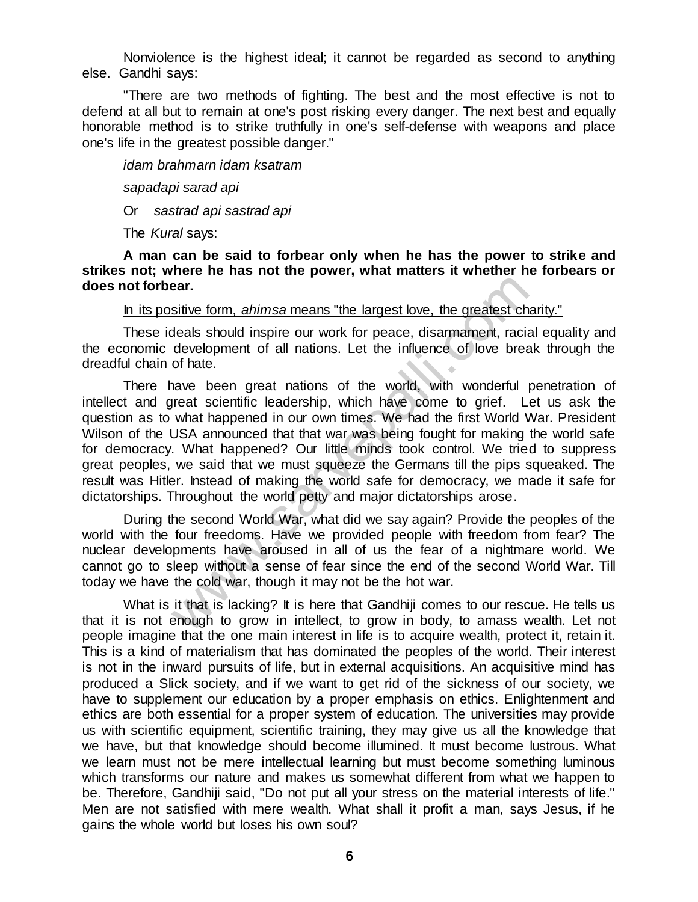Nonviolence is the highest ideal; it cannot be regarded as second to anything else. Gandhi says:

"There are two methods of fighting. The best and the most effective is not to defend at all but to remain at one's post risking every danger. The next best and equally honorable method is to strike truthfully in one's self-defense with weapons and place one's life in the greatest possible danger."

*idam brahmarn idam ksatram* 

*sapadapi sarad api* 

Or *sastrad api sastrad api* 

The *Kural* says:

**A man can be said to forbear only when he has the power to strike and strikes not; where he has not the power, what matters it whether he forbears or does not forbear.**

In its positive form, *ahimsa* means "the largest love, the greatest charity."

These ideals should inspire our work for peace, disarmament, racial equality and the economic development of all nations. Let the influence of love break through the dreadful chain of hate.

There have been great nations of the world, with wonderful penetration of intellect and great scientific leadership, which have come to grief. Let us ask the question as to what happened in our own times. We had the first World War. President Wilson of the USA announced that that war was being fought for making the world safe for democracy. What happened? Our little minds took control. We tried to suppress great peoples, we said that we must squeeze the Germans till the pips squeaked. The result was Hitler. Instead of making the world safe for democracy, we made it safe for dictatorships. Throughout the world petty and major dictatorships arose. **Example 19 and Solution** and the same summative term and the same sitive form, and impire our work for peace, disarmament, racial development of all nations. Let the influence of love bree of late.<br>
In a development of al

During the second World War, what did we say again? Provide the peoples of the world with the four freedoms. Have we provided people with freedom from fear? The nuclear developments have aroused in all of us the fear of a nightmare world. We cannot go to sleep without a sense of fear since the end of the second World War. Till today we have the cold war, though it may not be the hot war.

What is it that is lacking? It is here that Gandhiji comes to our rescue. He tells us that it is not enough to grow in intellect, to grow in body, to amass wealth. Let not people imagine that the one main interest in life is to acquire wealth, protect it, retain it. This is a kind of materialism that has dominated the peoples of the world. Their interest is not in the inward pursuits of life, but in external acquisitions. An acquisitive mind has produced a Slick society, and if we want to get rid of the sickness of our society, we have to supplement our education by a proper emphasis on ethics. Enlightenment and ethics are both essential for a proper system of education. The universities may provide us with scientific equipment, scientific training, they may give us all the knowledge that we have, but that knowledge should become illumined. It must become lustrous. What we learn must not be mere intellectual learning but must become something luminous which transforms our nature and makes us somewhat different from what we happen to be. Therefore, Gandhiji said, "Do not put all your stress on the material interests of life." Men are not satisfied with mere wealth. What shall it profit a man, says Jesus, if he gains the whole world but loses his own soul?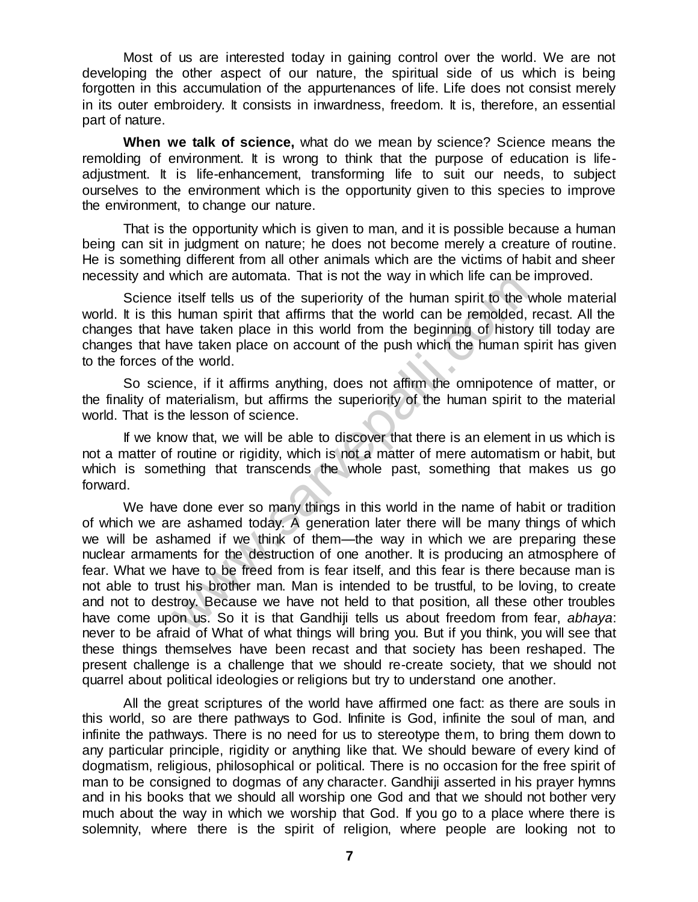Most of us are interested today in gaining control over the world. We are not developing the other aspect of our nature, the spiritual side of us which is being forgotten in this accumulation of the appurtenances of life. Life does not consist merely in its outer embroidery. It consists in inwardness, freedom. It is, therefore, an essential part of nature.

**When we talk of science,** what do we mean by science? Science means the remolding of environment. It is wrong to think that the purpose of education is lifeadjustment. It is life-enhancement, transforming life to suit our needs, to subject ourselves to the environment which is the opportunity given to this species to improve the environment, to change our nature.

That is the opportunity which is given to man, and it is possible because a human being can sit in judgment on nature; he does not become merely a creature of routine. He is something different from all other animals which are the victims of habit and sheer necessity and which are automata. That is not the way in which life can be improved.

Science itself tells us of the superiority of the human spirit to the whole material world. It is this human spirit that affirms that the world can be remolded, recast. All the changes that have taken place in this world from the beginning of history till today are changes that have taken place on account of the push which the human spirit has given to the forces of the world.

So science, if it affirms anything, does not affirm the omnipotence of matter, or the finality of materialism, but affirms the superiority of the human spirit to the material world. That is the lesson of science.

If we know that, we will be able to discover that there is an element in us which is not a matter of routine or rigidity, which is not a matter of mere automatism or habit, but which is something that transcends the whole past, something that makes us go forward.

We have done ever so many things in this world in the name of habit or tradition of which we are ashamed today. A generation later there will be many things of which we will be ashamed if we think of them—the way in which we are preparing these nuclear armaments for the destruction of one another. It is producing an atmosphere of fear. What we have to be freed from is fear itself, and this fear is there because man is not able to trust his brother man. Man is intended to be trustful, to be loving, to create and not to destroy. Because we have not held to that position, all these other troubles have come upon us. So it is that Gandhiji tells us about freedom from fear, *abhaya*: never to be afraid of What of what things will bring you. But if you think, you will see that these things themselves have been recast and that society has been reshaped. The present challenge is a challenge that we should re-create society, that we should not quarrel about political ideologies or religions but try to understand one another. which are automata. That is not the way in which life can be<br>itself tells us of the superiority of the human spirit to the with<br>ave taken place in this world row the world can be remolded,<br>ave taken place in this world fro

All the great scriptures of the world have affirmed one fact: as there are souls in this world, so are there pathways to God. Infinite is God, infinite the soul of man, and infinite the pathways. There is no need for us to stereotype them, to bring them down to any particular principle, rigidity or anything like that. We should beware of every kind of dogmatism, religious, philosophical or political. There is no occasion for the free spirit of man to be consigned to dogmas of any character. Gandhiji asserted in his prayer hymns and in his books that we should all worship one God and that we should not bother very much about the way in which we worship that God. If you go to a place where there is solemnity, where there is the spirit of religion, where people are looking not to